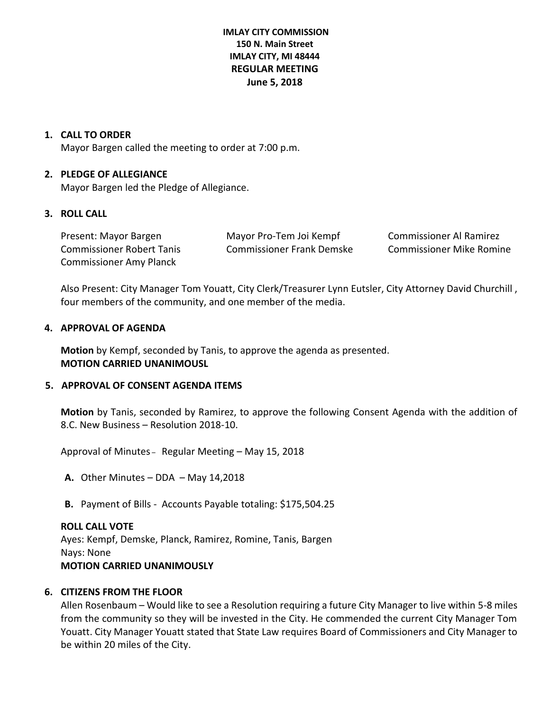# **IMLAY CITY COMMISSION 150 N. Main Street IMLAY CITY, MI 48444 REGULAR MEETING June 5, 2018**

### **1. CALL TO ORDER**

Mayor Bargen called the meeting to order at 7:00 p.m.

#### **2. PLEDGE OF ALLEGIANCE**

Mayor Bargen led the Pledge of Allegiance.

## **3. ROLL CALL**

| Present: Mayor Bargen            | Mayor Pro-Tem Joi Kempf   | Commissioner Al Ramirez         |
|----------------------------------|---------------------------|---------------------------------|
| <b>Commissioner Robert Tanis</b> | Commissioner Frank Demske | <b>Commissioner Mike Romine</b> |
| <b>Commissioner Amy Planck</b>   |                           |                                 |

Also Present: City Manager Tom Youatt, City Clerk/Treasurer Lynn Eutsler, City Attorney David Churchill , four members of the community, and one member of the media.

#### **4. APPROVAL OF AGENDA**

**Motion** by Kempf, seconded by Tanis, to approve the agenda as presented. **MOTION CARRIED UNANIMOUSL**

# **5. APPROVAL OF CONSENT AGENDA ITEMS**

**Motion** by Tanis, seconded by Ramirez, to approve the following Consent Agenda with the addition of 8.C. New Business – Resolution 2018-10.

Approval of Minutes – Regular Meeting – May 15, 2018

**A.** Other Minutes – DDA – May 14,2018

**B.** Payment of Bills - Accounts Payable totaling: \$175,504.25

## **ROLL CALL VOTE**

Ayes: Kempf, Demske, Planck, Ramirez, Romine, Tanis, Bargen Nays: None **MOTION CARRIED UNANIMOUSLY**

## **6. CITIZENS FROM THE FLOOR**

Allen Rosenbaum – Would like to see a Resolution requiring a future City Manager to live within 5-8 miles from the community so they will be invested in the City. He commended the current City Manager Tom Youatt. City Manager Youatt stated that State Law requires Board of Commissioners and City Manager to be within 20 miles of the City.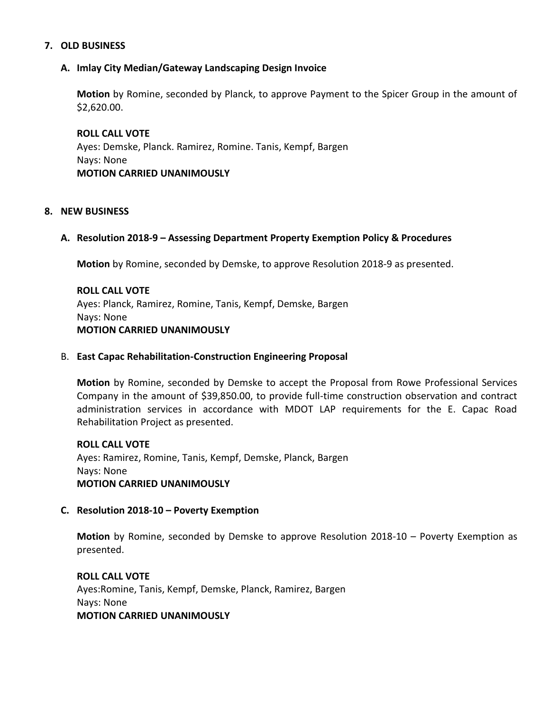#### **7. OLD BUSINESS**

### **A. Imlay City Median/Gateway Landscaping Design Invoice**

**Motion** by Romine, seconded by Planck, to approve Payment to the Spicer Group in the amount of \$2,620.00.

**ROLL CALL VOTE** Ayes: Demske, Planck. Ramirez, Romine. Tanis, Kempf, Bargen Nays: None **MOTION CARRIED UNANIMOUSLY**

#### **8. NEW BUSINESS**

#### **A. Resolution 2018-9 – Assessing Department Property Exemption Policy & Procedures**

**Motion** by Romine, seconded by Demske, to approve Resolution 2018-9 as presented.

# **ROLL CALL VOTE** Ayes: Planck, Ramirez, Romine, Tanis, Kempf, Demske, Bargen Nays: None **MOTION CARRIED UNANIMOUSLY**

#### B. **East Capac Rehabilitation-Construction Engineering Proposal**

**Motion** by Romine, seconded by Demske to accept the Proposal from Rowe Professional Services Company in the amount of \$39,850.00, to provide full-time construction observation and contract administration services in accordance with MDOT LAP requirements for the E. Capac Road Rehabilitation Project as presented.

**ROLL CALL VOTE** Ayes: Ramirez, Romine, Tanis, Kempf, Demske, Planck, Bargen Nays: None **MOTION CARRIED UNANIMOUSLY**

#### **C. Resolution 2018-10 – Poverty Exemption**

**Motion** by Romine, seconded by Demske to approve Resolution 2018-10 – Poverty Exemption as presented.

**ROLL CALL VOTE** Ayes:Romine, Tanis, Kempf, Demske, Planck, Ramirez, Bargen Nays: None **MOTION CARRIED UNANIMOUSLY**